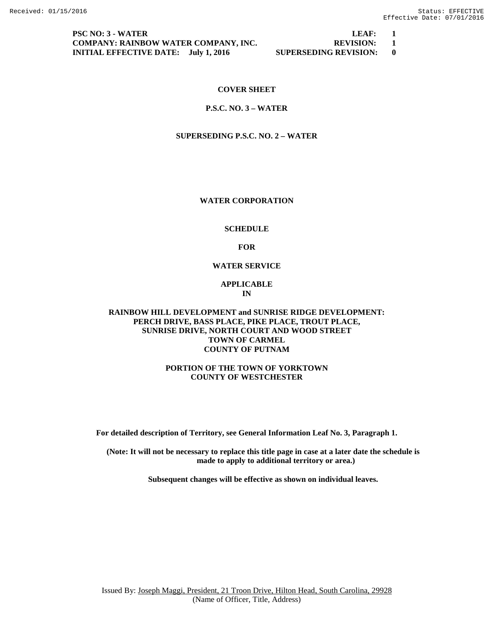**PSC NO: 3 - WATER LEAF: 1 COMPANY: RAINBOW WATER COMPANY, INC. REVISION: 1 INITIAL EFFECTIVE DATE: July 1, 2016 SUPERSEDING REVISION: 0**

#### **COVER SHEET**

#### **P.S.C. NO. 3 – WATER**

#### **SUPERSEDING P.S.C. NO. 2 – WATER**

#### **WATER CORPORATION**

#### **SCHEDULE**

**FOR**

#### **WATER SERVICE**

#### **APPLICABLE IN**

#### **RAINBOW HILL DEVELOPMENT and SUNRISE RIDGE DEVELOPMENT: PERCH DRIVE, BASS PLACE, PIKE PLACE, TROUT PLACE, SUNRISE DRIVE, NORTH COURT AND WOOD STREET TOWN OF CARMEL COUNTY OF PUTNAM**

#### **PORTION OF THE TOWN OF YORKTOWN COUNTY OF WESTCHESTER**

**For detailed description of Territory, see General Information Leaf No. 3, Paragraph 1.**

**(Note: It will not be necessary to replace this title page in case at a later date the schedule is made to apply to additional territory or area.)**

**Subsequent changes will be effective as shown on individual leaves.**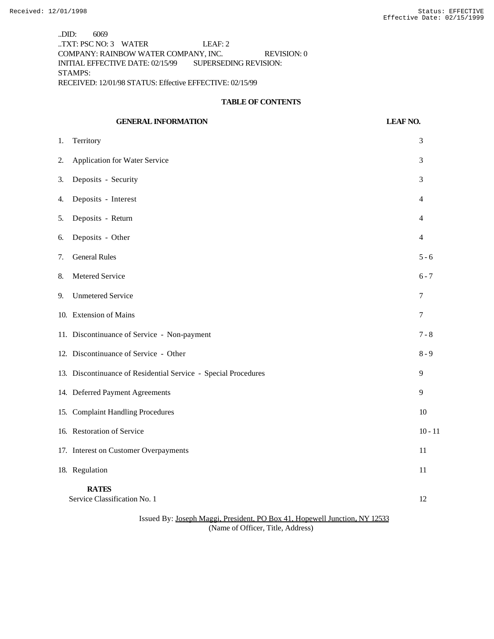..DID: 6069 ..TXT: PSC NO: 3 WATER LEAF: 2 COMPANY: RAINBOW WATER COMPANY, INC. REVISION: 0 INITIAL EFFECTIVE DATE: 02/15/99 SUPERSEDING REVISION: STAMPS: RECEIVED: 12/01/98 STATUS: Effective EFFECTIVE: 02/15/99

#### **TABLE OF CONTENTS**

|    | <b>GENERAL INFORMATION</b>                                     | <b>LEAF NO.</b> |
|----|----------------------------------------------------------------|-----------------|
| 1. | Territory                                                      | 3               |
| 2. | Application for Water Service                                  | 3               |
| 3. | Deposits - Security                                            | 3               |
| 4. | Deposits - Interest                                            | 4               |
| 5. | Deposits - Return                                              | 4               |
| 6. | Deposits - Other                                               | $\overline{4}$  |
| 7. | <b>General Rules</b>                                           | $5 - 6$         |
| 8. | Metered Service                                                | $6 - 7$         |
| 9. | <b>Unmetered Service</b>                                       | 7               |
|    | 10. Extension of Mains                                         | 7               |
|    | 11. Discontinuance of Service - Non-payment                    | $7 - 8$         |
|    | 12. Discontinuance of Service - Other                          | $8 - 9$         |
|    | 13. Discontinuance of Residential Service - Special Procedures | 9               |
|    | 14. Deferred Payment Agreements                                | 9               |
|    | 15. Complaint Handling Procedures                              | 10              |
|    | 16. Restoration of Service                                     | $10 - 11$       |
|    | 17. Interest on Customer Overpayments                          | 11              |
|    | 18. Regulation                                                 | 11              |
|    | <b>RATES</b><br>Service Classification No. 1                   | 12              |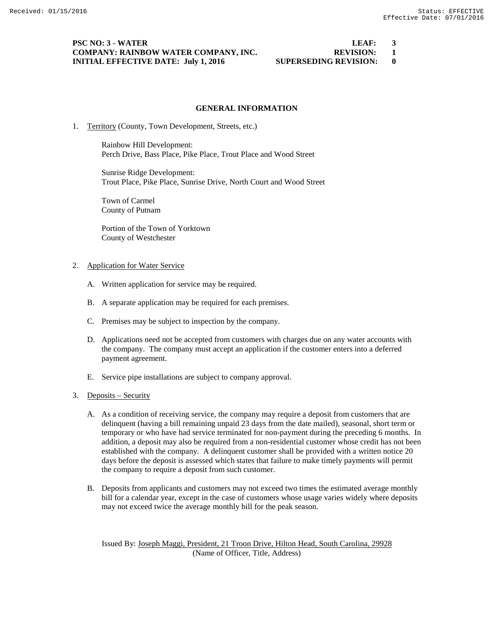#### **PSC NO: 3 - WATER LEAF: 3 COMPANY: RAINBOW WATER COMPANY, INC. REVISION: 1 INITIAL EFFECTIVE DATE: July 1, 2016 SUPERSEDING REVISION: 0**

#### **GENERAL INFORMATION**

1. Territory (County, Town Development, Streets, etc.)

Rainbow Hill Development: Perch Drive, Bass Place, Pike Place, Trout Place and Wood Street

Sunrise Ridge Development: Trout Place, Pike Place, Sunrise Drive, North Court and Wood Street

Town of Carmel County of Putnam

Portion of the Town of Yorktown County of Westchester

#### 2. Application for Water Service

- A. Written application for service may be required.
- B. A separate application may be required for each premises.
- C. Premises may be subject to inspection by the company.
- D. Applications need not be accepted from customers with charges due on any water accounts with the company. The company must accept an application if the customer enters into a deferred payment agreement.
- E. Service pipe installations are subject to company approval.

#### 3. Deposits – Security

- A. As a condition of receiving service, the company may require a deposit from customers that are delinquent (having a bill remaining unpaid 23 days from the date mailed), seasonal, short term or temporary or who have had service terminated for non-payment during the preceding 6 months. In addition, a deposit may also be required from a non-residential customer whose credit has not been established with the company. A delinquent customer shall be provided with a written notice 20 days before the deposit is assessed which states that failure to make timely payments will permit the company to require a deposit from such customer.
- B. Deposits from applicants and customers may not exceed two times the estimated average monthly bill for a calendar year, except in the case of customers whose usage varies widely where deposits may not exceed twice the average monthly bill for the peak season.

Issued By: Joseph Maggi, President, 21 Troon Drive, Hilton Head, South Carolina, 29928 (Name of Officer, Title, Address)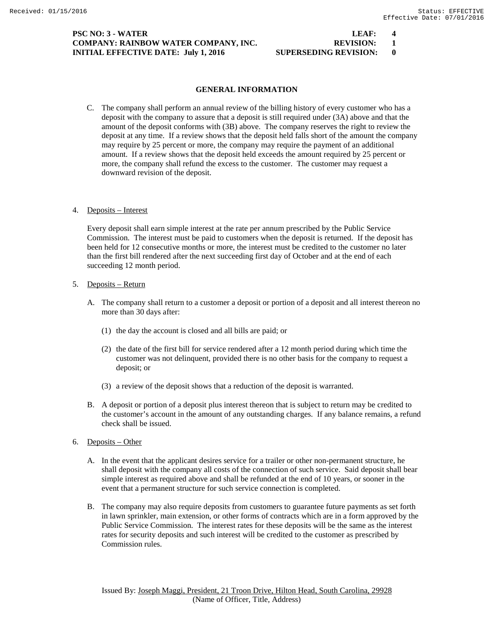### **PSC NO: 3 - WATER LEAF: 4 COMPANY: RAINBOW WATER COMPANY, INC. REVISION: 1 INITIAL EFFECTIVE DATE: July 1, 2016 SUPERSEDING REVISION: 0**

#### **GENERAL INFORMATION**

 C. The company shall perform an annual review of the billing history of every customer who has a deposit with the company to assure that a deposit is still required under (3A) above and that the amount of the deposit conforms with (3B) above. The company reserves the right to review the deposit at any time. If a review shows that the deposit held falls short of the amount the company may require by 25 percent or more, the company may require the payment of an additional amount. If a review shows that the deposit held exceeds the amount required by 25 percent or more, the company shall refund the excess to the customer. The customer may request a downward revision of the deposit.

#### 4. Deposits – Interest

Every deposit shall earn simple interest at the rate per annum prescribed by the Public Service Commission. The interest must be paid to customers when the deposit is returned. If the deposit has been held for 12 consecutive months or more, the interest must be credited to the customer no later than the first bill rendered after the next succeeding first day of October and at the end of each succeeding 12 month period.

#### 5. Deposits – Return

- A. The company shall return to a customer a deposit or portion of a deposit and all interest thereon no more than 30 days after:
	- (1) the day the account is closed and all bills are paid; or
	- (2) the date of the first bill for service rendered after a 12 month period during which time the customer was not delinquent, provided there is no other basis for the company to request a deposit; or
	- (3) a review of the deposit shows that a reduction of the deposit is warranted.
- B. A deposit or portion of a deposit plus interest thereon that is subject to return may be credited to the customer's account in the amount of any outstanding charges. If any balance remains, a refund check shall be issued.
- 6. Deposits Other
	- A. In the event that the applicant desires service for a trailer or other non-permanent structure, he shall deposit with the company all costs of the connection of such service. Said deposit shall bear simple interest as required above and shall be refunded at the end of 10 years, or sooner in the event that a permanent structure for such service connection is completed.
	- B. The company may also require deposits from customers to guarantee future payments as set forth in lawn sprinkler, main extension, or other forms of contracts which are in a form approved by the Public Service Commission. The interest rates for these deposits will be the same as the interest rates for security deposits and such interest will be credited to the customer as prescribed by Commission rules.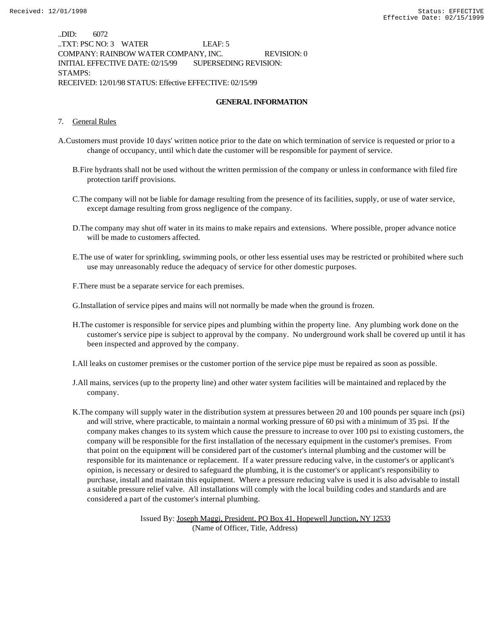..DID: 6072 ..TXT: PSC NO: 3 WATER LEAF: 5 COMPANY: RAINBOW WATER COMPANY, INC. REVISION: 0 INITIAL EFFECTIVE DATE: 02/15/99 SUPERSEDING REVISION: STAMPS: RECEIVED: 12/01/98 STATUS: Effective EFFECTIVE: 02/15/99

#### **GENERAL INFORMATION**

#### 7. General Rules

- A.Customers must provide 10 days' written notice prior to the date on which termination of service is requested or prior to a change of occupancy, until which date the customer will be responsible for payment of service.
	- B.Fire hydrants shall not be used without the written permission of the company or unless in conformance with filed fire protection tariff provisions.
	- C.The company will not be liable for damage resulting from the presence of its facilities, supply, or use of water service, except damage resulting from gross negligence of the company.
	- D.The company may shut off water in its mains to make repairs and extensions. Where possible, proper advance notice will be made to customers affected.
	- E.The use of water for sprinkling, swimming pools, or other less essential uses may be restricted or prohibited where such use may unreasonably reduce the adequacy of service for other domestic purposes.
	- F.There must be a separate service for each premises.

G.Installation of service pipes and mains will not normally be made when the ground is frozen.

H.The customer is responsible for service pipes and plumbing within the property line. Any plumbing work done on the customer's service pipe is subject to approval by the company. No underground work shall be covered up until it has been inspected and approved by the company.

I.All leaks on customer premises or the customer portion of the service pipe must be repaired as soon as possible.

- J.All mains, services (up to the property line) and other water system facilities will be maintained and replaced by the company.
- K.The company will supply water in the distribution system at pressures between 20 and 100 pounds per square inch (psi) and will strive, where practicable, to maintain a normal working pressure of 60 psi with a minimum of 35 psi. If the company makes changes to its system which cause the pressure to increase to over 100 psi to existing customers, the company will be responsible for the first installation of the necessary equipment in the customer's premises. From that point on the equipment will be considered part of the customer's internal plumbing and the customer will be responsible for its maintenance or replacement. If a water pressure reducing valve, in the customer's or applicant's opinion, is necessary or desired to safeguard the plumbing, it is the customer's or applicant's responsibility to purchase, install and maintain this equipment. Where a pressure reducing valve is used it is also advisable to install a suitable pressure relief valve. All installations will comply with the local building codes and standards and are considered a part of the customer's internal plumbing.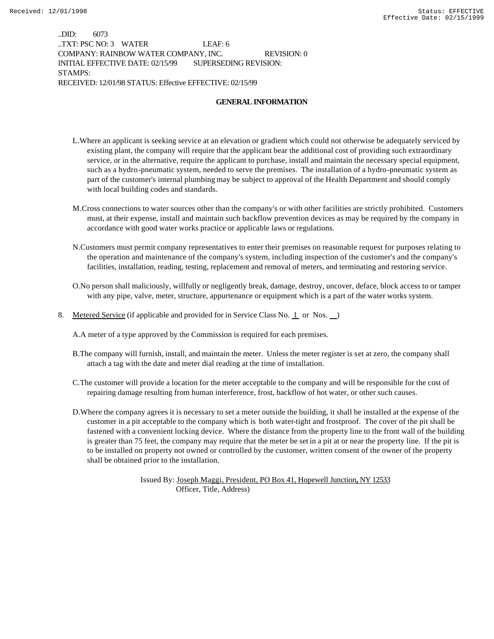..DID: 6073 ..TXT: PSC NO: 3 WATER LEAF: 6 COMPANY: RAINBOW WATER COMPANY, INC. REVISION: 0 INITIAL EFFECTIVE DATE: 02/15/99 SUPERSEDING REVISION: STAMPS: RECEIVED: 12/01/98 STATUS: Effective EFFECTIVE: 02/15/99

#### **GENERAL INFORMATION**

- L.Where an applicant is seeking service at an elevation or gradient which could not otherwise be adequately serviced by existing plant, the company will require that the applicant bear the additional cost of providing such extraordinary service, or in the alternative, require the applicant to purchase, install and maintain the necessary special equipment, such as a hydro-pneumatic system, needed to serve the premises. The installation of a hydro-pneumatic system as part of the customer's internal plumbing may be subject to approval of the Health Department and should comply with local building codes and standards.
- M.Cross connections to water sources other than the company's or with other facilities are strictly prohibited. Customers must, at their expense, install and maintain such backflow prevention devices as may be required by the company in accordance with good water works practice or applicable laws or regulations.
- N.Customers must permit company representatives to enter their premises on reasonable request for purposes relating to the operation and maintenance of the company's system, including inspection of the customer's and the company's facilities, installation, reading, testing, replacement and removal of meters, and terminating and restoring service.
- O.No person shall maliciously, willfully or negligently break, damage, destroy, uncover, deface, block access to or tamper with any pipe, valve, meter, structure, appurtenance or equipment which is a part of the water works system.
- 8. Metered Service (if applicable and provided for in Service Class No. 1 or Nos. )

A.A meter of a type approved by the Commission is required for each premises.

- B.The company will furnish, install, and maintain the meter. Unless the meter register is set at zero, the company shall attach a tag with the date and meter dial reading at the time of installation.
- C.The customer will provide a location for the meter acceptable to the company and will be responsible for the cost of repairing damage resulting from human interference, frost, backflow of hot water, or other such causes.
- D.Where the company agrees it is necessary to set a meter outside the building, it shall be installed at the expense of the customer in a pit acceptable to the company which is both water-tight and frostproof. The cover of the pit shall be fastened with a convenient locking device. Where the distance from the property line to the front wall of the building is greater than 75 feet, the company may require that the meter be set in a pit at or near the property line. If the pit is to be installed on property not owned or controlled by the customer, written consent of the owner of the property shall be obtained prior to the installation.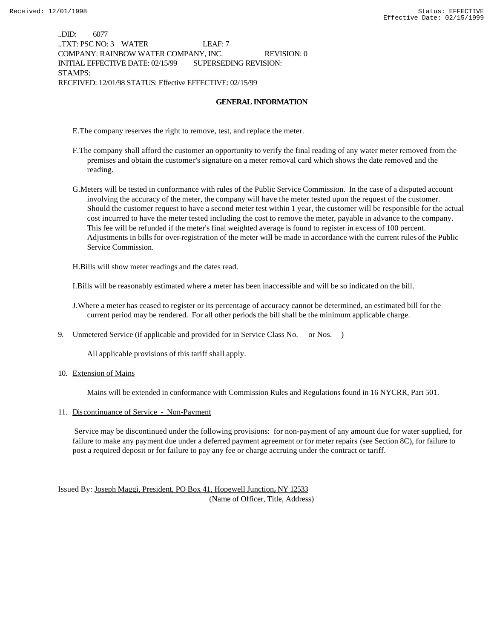..DID: 6077 ..TXT: PSC NO: 3 WATER LEAF: 7 COMPANY: RAINBOW WATER COMPANY, INC. REVISION: 0 INITIAL EFFECTIVE DATE: 02/15/99 SUPERSEDING REVISION: STAMPS: RECEIVED: 12/01/98 STATUS: Effective EFFECTIVE: 02/15/99

#### **GENERAL INFORMATION**

E.The company reserves the right to remove, test, and replace the meter.

- F.The company shall afford the customer an opportunity to verify the final reading of any water meter removed from the premises and obtain the customer's signature on a meter removal card which shows the date removed and the reading.
- G.Meters will be tested in conformance with rules of the Public Service Commission. In the case of a disputed account involving the accuracy of the meter, the company will have the meter tested upon the request of the customer. Should the customer request to have a second meter test within 1 year, the customer will be responsible for the actual cost incurred to have the meter tested including the cost to remove the meter, payable in advance to the company. This fee will be refunded if the meter's final weighted average is found to register in excess of 100 percent. Adjustments in bills for over-registration of the meter will be made in accordance with the current rules of the Public Service Commission.

H.Bills will show meter readings and the dates read.

I.Bills will be reasonably estimated where a meter has been inaccessible and will be so indicated on the bill.

- J.Where a meter has ceased to register or its percentage of accuracy cannot be determined, an estimated bill for the current period may be rendered. For all other periods the bill shall be the minimum applicable charge.
- 9. Unmetered Service (if applicable and provided for in Service Class No. or Nos. )

All applicable provisions of this tariff shall apply.

10. Extension of Mains

Mains will be extended in conformance with Commission Rules and Regulations found in 16 NYCRR, Part 501.

#### 11. Discontinuance of Service - Non-Payment

 Service may be discontinued under the following provisions: for non-payment of any amount due for water supplied, for failure to make any payment due under a deferred payment agreement or for meter repairs (see Section 8C), for failure to post a required deposit or for failure to pay any fee or charge accruing under the contract or tariff.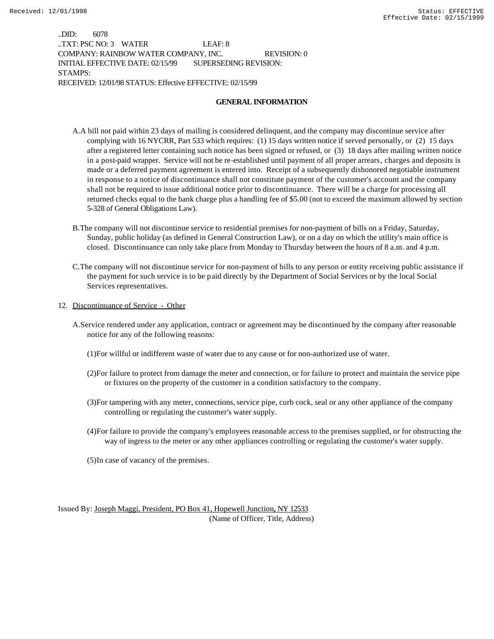..DID: 6078 ..TXT: PSC NO: 3 WATER LEAF: 8 COMPANY: RAINBOW WATER COMPANY, INC. REVISION: 0 INITIAL EFFECTIVE DATE: 02/15/99 SUPERSEDING REVISION: STAMPS: RECEIVED: 12/01/98 STATUS: Effective EFFECTIVE: 02/15/99

#### **GENERAL INFORMATION**

- A.A bill not paid within 23 days of mailing is considered delinquent, and the company may discontinue service after complying with 16 NYCRR, Part 533 which requires: (1) 15 days written notice if served personally, or (2) 15 days after a registered letter containing such notice has been signed or refused, or (3) 18 days after mailing written notice in a post-paid wrapper. Service will not be re-established until payment of all proper arrears, charges and deposits is made or a deferred payment agreement is entered into. Receipt of a subsequently dishonored negotiable instrument in response to a notice of discontinuance shall not constitute payment of the customer's account and the company shall not be required to issue additional notice prior to discontinuance. There will be a charge for processing all returned checks equal to the bank charge plus a handling fee of \$5.00 (not to exceed the maximum allowed by section 5-328 of General Obligations Law).
- B.The company will not discontinue service to residential premises for non-payment of bills on a Friday, Saturday, Sunday, public holiday (as defined in General Construction Law), or on a day on which the utility's main office is closed. Discontinuance can only take place from Monday to Thursday between the hours of 8 a.m. and 4 p.m.
- C.The company will not discontinue service for non-payment of bills to any person or entity receiving public assistance if the payment for such service is to be paid directly by the Department of Social Services or by the local Social Services representatives.
- 12. Discontinuance of Service Other
	- A.Service rendered under any application, contract or agreement may be discontinued by the company after reasonable notice for any of the following reasons:
		- (1)For willful or indifferent waste of water due to any cause or for non-authorized use of water.
		- (2)For failure to protect from damage the meter and connection, or for failure to protect and maintain the service pipe or fixtures on the property of the customer in a condition satisfactory to the company.
		- (3)For tampering with any meter, connections, service pipe, curb cock, seal or any other appliance of the company controlling or regulating the customer's water supply.
		- (4)For failure to provide the company's employees reasonable access to the premises supplied, or for obstructing the way of ingress to the meter or any other appliances controlling or regulating the customer's water supply.
		- (5)In case of vacancy of the premises.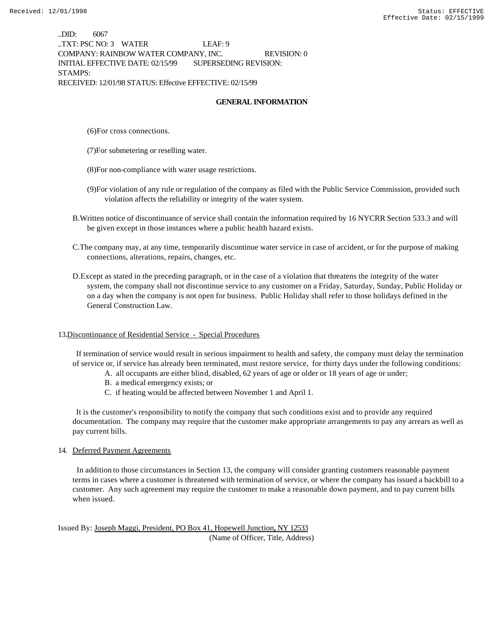..DID: 6067 ..TXT: PSC NO: 3 WATER LEAF: 9 COMPANY: RAINBOW WATER COMPANY, INC. REVISION: 0 INITIAL EFFECTIVE DATE: 02/15/99 SUPERSEDING REVISION: STAMPS: RECEIVED: 12/01/98 STATUS: Effective EFFECTIVE: 02/15/99

#### **GENERAL INFORMATION**

(6)For cross connections.

- (7)For submetering or reselling water.
- (8)For non-compliance with water usage restrictions.
- (9)For violation of any rule or regulation of the company as filed with the Public Service Commission, provided such violation affects the reliability or integrity of the water system.
- B.Written notice of discontinuance of service shall contain the information required by 16 NYCRR Section 533.3 and will be given except in those instances where a public health hazard exists.
- C.The company may, at any time, temporarily discontinue water service in case of accident, or for the purpose of making connections, alterations, repairs, changes, etc.
- D.Except as stated in the preceding paragraph, or in the case of a violation that threatens the integrity of the water system, the company shall not discontinue service to any customer on a Friday, Saturday, Sunday, Public Holiday or on a day when the company is not open for business. Public Holiday shall refer to those holidays defined in the General Construction Law.

#### 13.Discontinuance of Residential Service - Special Procedures

 If termination of service would result in serious impairment to health and safety, the company must delay the termination of service or, if service has already been terminated, must restore service, for thirty days under the following conditions:

- A. all occupants are either blind, disabled, 62 years of age or older or 18 years of age or under;
- B. a medical emergency exists; or
- C. if heating would be affected between November 1 and April 1.

 It is the customer's responsibility to notify the company that such conditions exist and to provide any required documentation. The company may require that the customer make appropriate arrangements to pay any arrears as well as pay current bills.

#### 14. Deferred Payment Agreements

 In addition to those circumstances in Section 13, the company will consider granting customers reasonable payment terms in cases where a customer is threatened with termination of service, or where the company has issued a backbill to a customer. Any such agreement may require the customer to make a reasonable down payment, and to pay current bills when issued.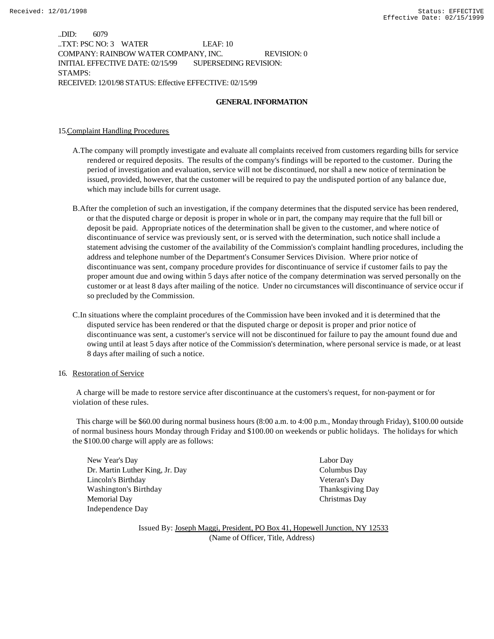..DID: 6079 ..TXT: PSC NO: 3 WATER LEAF: 10 COMPANY: RAINBOW WATER COMPANY, INC. REVISION: 0 INITIAL EFFECTIVE DATE: 02/15/99 SUPERSEDING REVISION: STAMPS: RECEIVED: 12/01/98 STATUS: Effective EFFECTIVE: 02/15/99

#### **GENERAL INFORMATION**

15.Complaint Handling Procedures

- A.The company will promptly investigate and evaluate all complaints received from customers regarding bills for service rendered or required deposits. The results of the company's findings will be reported to the customer. During the period of investigation and evaluation, service will not be discontinued, nor shall a new notice of termination be issued, provided, however, that the customer will be required to pay the undisputed portion of any balance due, which may include bills for current usage.
- B.After the completion of such an investigation, if the company determines that the disputed service has been rendered, or that the disputed charge or deposit is proper in whole or in part, the company may require that the full bill or deposit be paid. Appropriate notices of the determination shall be given to the customer, and where notice of discontinuance of service was previously sent, or is served with the determination, such notice shall include a statement advising the customer of the availability of the Commission's complaint handling procedures, including the address and telephone number of the Department's Consumer Services Division. Where prior notice of discontinuance was sent, company procedure provides for discontinuance of service if customer fails to pay the proper amount due and owing within 5 days after notice of the company determination was served personally on the customer or at least 8 days after mailing of the notice. Under no circumstances will discontinuance of service occur if so precluded by the Commission.
- C.In situations where the complaint procedures of the Commission have been invoked and it is determined that the disputed service has been rendered or that the disputed charge or deposit is proper and prior notice of discontinuance was sent, a customer's service will not be discontinued for failure to pay the amount found due and owing until at least 5 days after notice of the Commission's determination, where personal service is made, or at least 8 days after mailing of such a notice.
- 16. Restoration of Service

 A charge will be made to restore service after discontinuance at the customers's request, for non-payment or for violation of these rules.

 This charge will be \$60.00 during normal business hours (8:00 a.m. to 4:00 p.m., Monday through Friday), \$100.00 outside of normal business hours Monday through Friday and \$100.00 on weekends or public holidays. The holidays for which the \$100.00 charge will apply are as follows:

New Year's Day Labor Day Dr. Martin Luther King, Jr. Day Columbus Day Lincoln's Birthday Veteran's Day Washington's Birthday Thanksgiving Day Memorial Day Christmas Day Independence Day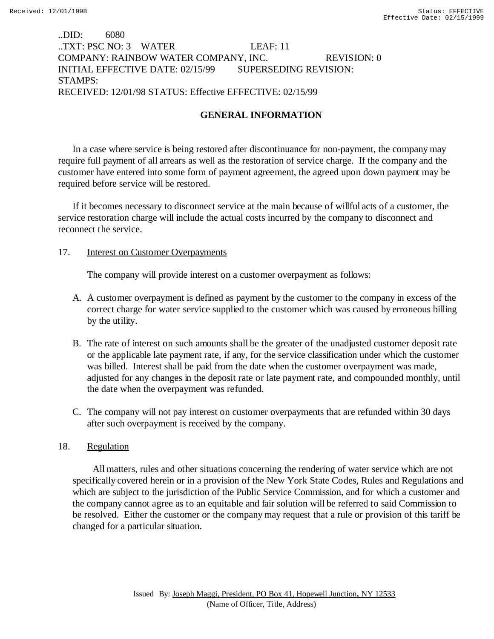# ..DID: 6080 ..TXT: PSC NO: 3 WATER LEAF: 11 COMPANY: RAINBOW WATER COMPANY, INC. REVISION: 0 INITIAL EFFECTIVE DATE: 02/15/99 SUPERSEDING REVISION: STAMPS: RECEIVED: 12/01/98 STATUS: Effective EFFECTIVE: 02/15/99

# **GENERAL INFORMATION**

In a case where service is being restored after discontinuance for non-payment, the company may require full payment of all arrears as well as the restoration of service charge. If the company and the customer have entered into some form of payment agreement, the agreed upon down payment may be required before service will be restored.

If it becomes necessary to disconnect service at the main because of willful acts of a customer, the service restoration charge will include the actual costs incurred by the company to disconnect and reconnect the service.

## 17. Interest on Customer Overpayments

The company will provide interest on a customer overpayment as follows:

- A. A customer overpayment is defined as payment by the customer to the company in excess of the correct charge for water service supplied to the customer which was caused by erroneous billing by the utility.
- B. The rate of interest on such amounts shall be the greater of the unadjusted customer deposit rate or the applicable late payment rate, if any, for the service classification under which the customer was billed. Interest shall be paid from the date when the customer overpayment was made, adjusted for any changes in the deposit rate or late payment rate, and compounded monthly, until the date when the overpayment was refunded.
- C. The company will not pay interest on customer overpayments that are refunded within 30 days after such overpayment is received by the company.

## 18. Regulation

 All matters, rules and other situations concerning the rendering of water service which are not specifically covered herein or in a provision of the New York State Codes, Rules and Regulations and which are subject to the jurisdiction of the Public Service Commission, and for which a customer and the company cannot agree as to an equitable and fair solution will be referred to said Commission to be resolved. Either the customer or the company may request that a rule or provision of this tariff be changed for a particular situation.